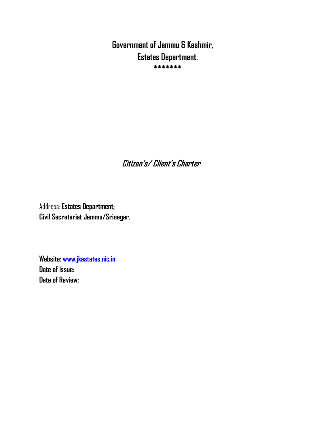**Government of Jammu & Kashmir, Estates Department. \*\*\*\*\*\*\***

 **Citizen's/ Client's Charter**

Address: **Estates Department; Civil Secretariat Jammu/Srinagar.**

**Website: [www.jkestates.nic.in](http://www.jkestates.nic.in/) Date of Issue: Date of Review:**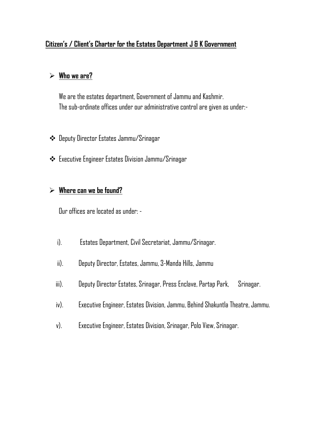#### **Citizen's / Client's Charter for the Estates Department J & K Government**

#### **Who we are?**

We are the estates department, Government of Jammu and Kashmir. The sub-ordinate offices under our administrative control are given as under:-

- Deputy Director Estates Jammu/Srinagar
- Executive Engineer Estates Division Jammu/Srinagar

#### **Where can we be found?**

Our offices are located as under: -

- i). Estates Department, Civil Secretariat, Jammu/Srinagar.
- ii). Deputy Director, Estates, Jammu, 3-Manda Hills, Jammu
- iii). Deputy Director Estates, Srinagar, Press Enclave, Partap Park, Srinagar.
- iv). Executive Engineer, Estates Division, Jammu, Behind Shakuntla Theatre, Jammu.
- v). Executive Engineer, Estates Division, Srinagar, Polo View, Srinagar.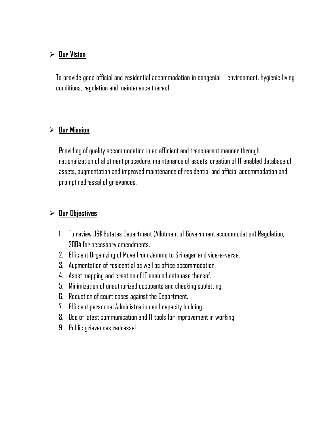### **Our Vision**

To provide good official and residential accommodation in congenial environment, hygienic living conditions, regulation and maintenance thereof.

#### **Our Mission**

Providing of quality accommodation in an efficient and transparent manner through rationalization of allotment procedure, maintenance of assets, creation of IT enabled database of assets, augmentation and improved maintenance of residential and official accommodation and prompt redressal of grievances.

### **Our Objectives**

- 1. To review J&K Estates Department (Allotment of Government accommodation) Regulation, 2004 for necessary amendments.
- 2. Efficient Organizing of Move from Jammu to Srinagar and vice-a-versa.
- 3. Augmentation of residential as well as office accommodation.
- 4. Asset mapping and creation of IT enabled database thereof.
- 5. Minimization of unauthorized occupants and checking subletting.
- 6. Reduction of court cases against the Department.
- 7. Efficient personnel Administration and capacity building.
- 8. Use of latest communication and IT tools for improvement in working.
- 9. Public grievances redressal .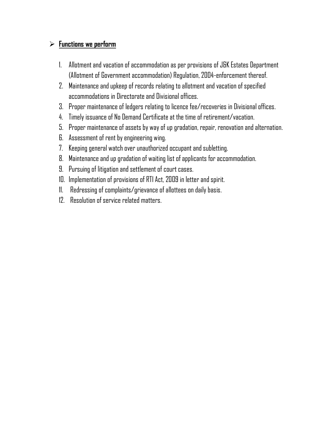## **Functions we perform**

- 1. Allotment and vacation of accommodation as per provisions of J&K Estates Department (Allotment of Government accommodation) Regulation, 2004-enforcement thereof.
- 2. Maintenance and upkeep of records relating to allotment and vacation of specified accommodations in Directorate and Divisional offices.
- 3. Proper maintenance of ledgers relating to licence fee/recoveries in Divisional offices.
- 4. Timely issuance of No Demand Certificate at the time of retirement/vacation.
- 5. Proper maintenance of assets by way of up gradation, repair, renovation and alternation.
- 6. Assessment of rent by engineering wing.
- 7. Keeping general watch over unauthorized occupant and subletting.
- 8. Maintenance and up gradation of waiting list of applicants for accommodation.
- 9. Pursuing of litigation and settlement of court cases.
- 10. Implementation of provisions of RTI Act, 2009 in letter and spirit.
- 11. Redressing of complaints/grievance of allottees on daily basis.
- 12. Resolution of service related matters.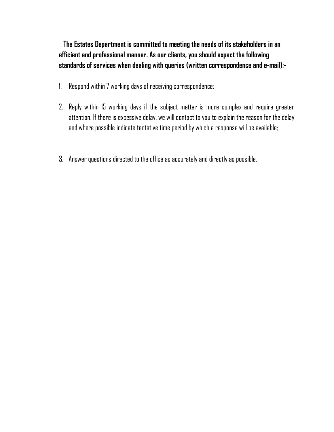**The Estates Department is committed to meeting the needs of its stakeholders in an efficient and professional manner. As our clients, you should expect the following standards of services when dealing with queries (written correspondence and e-mail);-**

- 1. Respond within 7 working days of receiving correspondence;
- 2. Reply within 15 working days if the subject matter is more complex and require greater attention. If there is excessive delay, we will contact to you to explain the reason for the delay and where possible indicate tentative time period by which a response will be available;
- 3. Answer questions directed to the office as accurately and directly as possible.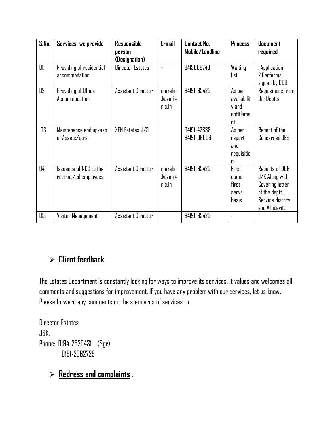| S.Na. | Services we provide                             | Responsible<br>person<br>(Designation) | E-mail                       | <b>Contact No.</b><br>Mobile/Landline | <b>Process</b>                                    | <b>Document</b><br>required                                                                                      |
|-------|-------------------------------------------------|----------------------------------------|------------------------------|---------------------------------------|---------------------------------------------------|------------------------------------------------------------------------------------------------------------------|
| 01.   | Providing of residential<br>accommodation       | Director Estates                       |                              | 9419008749                            | Waiting<br>list                                   | 1. Application<br>2.Performa<br>signed by DDD                                                                    |
| 02.   | Providing of Office<br>Accommodation            | Assistant Director                     | mazahir<br>.kazmi@<br>nic.in | 94191-65425                           | As per<br>availabilit<br>y and<br>entitleme<br>nt | Requisitions from<br>the Deptts                                                                                  |
| 03.   | Maintenance and upkeep<br>of Assets/gtrs.       | XEN Estates J/S                        | $\overline{a}$               | 94191-42838<br>94191-06006            | As per<br>report<br>and<br>requisitio<br>n        | Report of the<br>Concerned JEE                                                                                   |
| 04.   | Issuance of NDC to the<br>retiring/ed employees | Assistant Director                     | mazahir<br>.kazmi@<br>nic.in | 94191-65425                           | First<br>come<br>first<br><b>SELVE</b><br>basis   | Reports of DDE<br>J/K Along with<br><b>Covering letter</b><br>of the deptt,<br>Service History<br>and Affidavit. |
| 05.   | Visitor Management                              | Assistant Director                     |                              | 94191-65425                           |                                                   |                                                                                                                  |

# **Client feedback**.

The Estates Department is constantly looking for ways to improve its services. It values and welcomes all comments and suggestions for improvement. If you have any problem with our services, let us know. Please forward any comments on the standards of services to.

Director Estates J&K, Phone: 0194-2520431 (Sgr) 0191-2562729

# **Redress and complaints** :